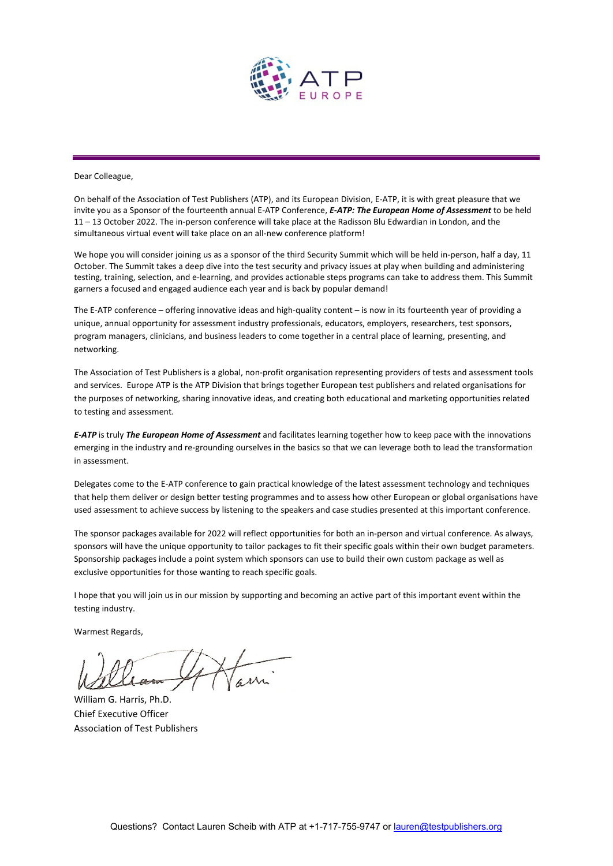

Dear Colleague,

On behalf of the Association of Test Publishers (ATP), and its European Division, E-ATP, it is with great pleasure that we invite you as a Sponsor of the fourteenth annual E-ATP Conference, *E-ATP: The European Home of Assessment* to be held 11 – 13 October 2022. The in-person conference will take place at the Radisson Blu Edwardian in London, and the simultaneous virtual event will take place on an all-new conference platform!

We hope you will consider joining us as a sponsor of the third Security Summit which will be held in-person, half a day, 11 October. The Summit takes a deep dive into the test security and privacy issues at play when building and administering testing, training, selection, and e-learning, and provides actionable steps programs can take to address them. This Summit garners a focused and engaged audience each year and is back by popular demand!

The E-ATP conference – offering innovative ideas and high-quality content – is now in its fourteenth year of providing a unique, annual opportunity for assessment industry professionals, educators, employers, researchers, test sponsors, program managers, clinicians, and business leaders to come together in a central place of learning, presenting, and networking.

The Association of Test Publishers is a global, non-profit organisation representing providers of tests and assessment tools and services. Europe ATP is the ATP Division that brings together European test publishers and related organisations for the purposes of networking, sharing innovative ideas, and creating both educational and marketing opportunities related to testing and assessment.

*E-ATP* is truly *The European Home of Assessment* and facilitates learning together how to keep pace with the innovations emerging in the industry and re-grounding ourselves in the basics so that we can leverage both to lead the transformation in assessment.

Delegates come to the E-ATP conference to gain practical knowledge of the latest assessment technology and techniques that help them deliver or design better testing programmes and to assess how other European or global organisations have used assessment to achieve success by listening to the speakers and case studies presented at this important conference.

The sponsor packages available for 2022 will reflect opportunities for both an in-person and virtual conference. As always, sponsors will have the unique opportunity to tailor packages to fit their specific goals within their own budget parameters. Sponsorship packages include a point system which sponsors can use to build their own custom package as well as exclusive opportunities for those wanting to reach specific goals.

I hope that you will join us in our mission by supporting and becoming an active part of this important event within the testing industry.

Warmest Regards,

William G. Harris, Ph.D. Chief Executive Officer Association of Test Publishers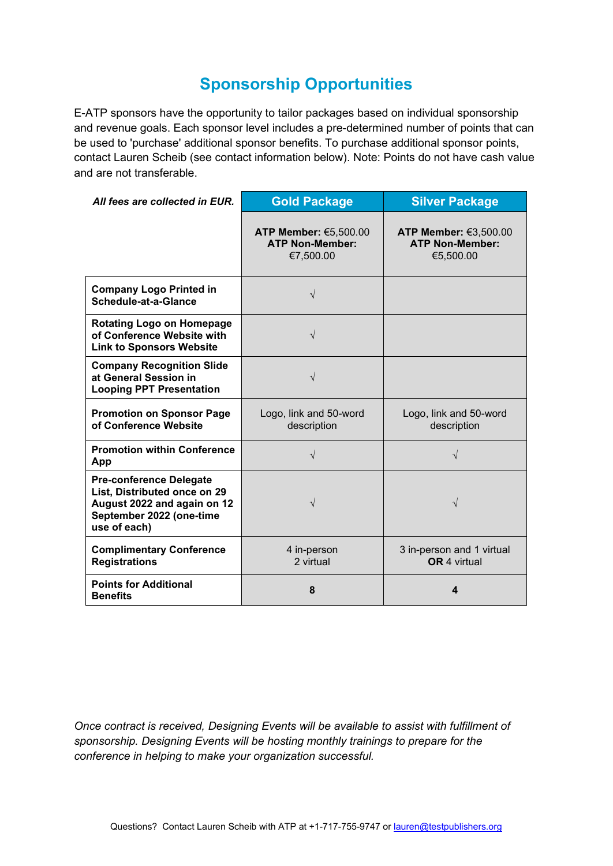# **Sponsorship Opportunities**

E-ATP sponsors have the opportunity to tailor packages based on individual sponsorship and revenue goals. Each sponsor level includes a pre-determined number of points that can be used to 'purchase' additional sponsor benefits. To purchase additional sponsor points, contact Lauren Scheib (see contact information below). Note: Points do not have cash value and are not transferable.

| All fees are collected in EUR.                                                                                                            | <b>Gold Package</b>                                          | <b>Silver Package</b>                                        |
|-------------------------------------------------------------------------------------------------------------------------------------------|--------------------------------------------------------------|--------------------------------------------------------------|
|                                                                                                                                           | ATP Member: €5,500.00<br><b>ATP Non-Member:</b><br>€7,500.00 | ATP Member: €3,500.00<br><b>ATP Non-Member:</b><br>€5,500.00 |
| <b>Company Logo Printed in</b><br>Schedule-at-a-Glance                                                                                    | $\sqrt{}$                                                    |                                                              |
| <b>Rotating Logo on Homepage</b><br>of Conference Website with<br><b>Link to Sponsors Website</b>                                         | $\sqrt{}$                                                    |                                                              |
| <b>Company Recognition Slide</b><br>at General Session in<br><b>Looping PPT Presentation</b>                                              | $\sqrt{}$                                                    |                                                              |
| <b>Promotion on Sponsor Page</b><br>of Conference Website                                                                                 | Logo, link and 50-word<br>description                        | Logo, link and 50-word<br>description                        |
| <b>Promotion within Conference</b><br>App                                                                                                 | V                                                            | V                                                            |
| <b>Pre-conference Delegate</b><br>List, Distributed once on 29<br>August 2022 and again on 12<br>September 2022 (one-time<br>use of each) | V                                                            | V                                                            |
| <b>Complimentary Conference</b><br><b>Registrations</b>                                                                                   | 4 in-person<br>2 virtual                                     | 3 in-person and 1 virtual<br><b>OR</b> 4 virtual             |
| <b>Points for Additional</b><br><b>Benefits</b>                                                                                           | 8                                                            | 4                                                            |

*Once contract is received, Designing Events will be available to assist with fulfillment of sponsorship. Designing Events will be hosting monthly trainings to prepare for the conference in helping to make your organization successful.*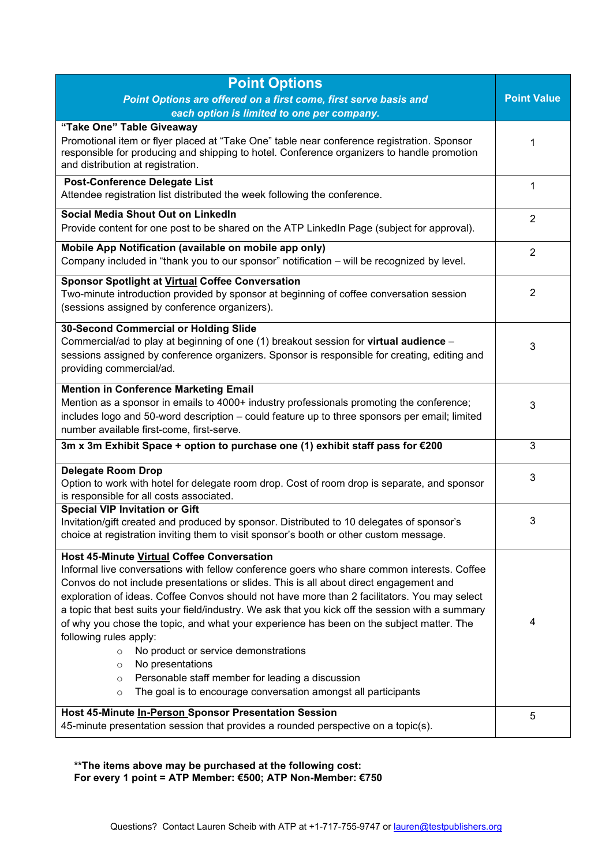| <b>Point Options</b>                                                                                                                                                                                                                                                                                                                                                                                                                                                                                                                                                                                                                                                                                                                                                                               |   |  |  |
|----------------------------------------------------------------------------------------------------------------------------------------------------------------------------------------------------------------------------------------------------------------------------------------------------------------------------------------------------------------------------------------------------------------------------------------------------------------------------------------------------------------------------------------------------------------------------------------------------------------------------------------------------------------------------------------------------------------------------------------------------------------------------------------------------|---|--|--|
| Point Options are offered on a first come, first serve basis and                                                                                                                                                                                                                                                                                                                                                                                                                                                                                                                                                                                                                                                                                                                                   |   |  |  |
| each option is limited to one per company.                                                                                                                                                                                                                                                                                                                                                                                                                                                                                                                                                                                                                                                                                                                                                         |   |  |  |
| "Take One" Table Giveaway<br>Promotional item or flyer placed at "Take One" table near conference registration. Sponsor<br>responsible for producing and shipping to hotel. Conference organizers to handle promotion<br>and distribution at registration.                                                                                                                                                                                                                                                                                                                                                                                                                                                                                                                                         |   |  |  |
| Post-Conference Delegate List<br>Attendee registration list distributed the week following the conference.                                                                                                                                                                                                                                                                                                                                                                                                                                                                                                                                                                                                                                                                                         |   |  |  |
| Social Media Shout Out on LinkedIn<br>Provide content for one post to be shared on the ATP LinkedIn Page (subject for approval).                                                                                                                                                                                                                                                                                                                                                                                                                                                                                                                                                                                                                                                                   |   |  |  |
| Mobile App Notification (available on mobile app only)<br>Company included in "thank you to our sponsor" notification - will be recognized by level.                                                                                                                                                                                                                                                                                                                                                                                                                                                                                                                                                                                                                                               |   |  |  |
| <b>Sponsor Spotlight at Virtual Coffee Conversation</b><br>Two-minute introduction provided by sponsor at beginning of coffee conversation session<br>(sessions assigned by conference organizers).                                                                                                                                                                                                                                                                                                                                                                                                                                                                                                                                                                                                |   |  |  |
| 30-Second Commercial or Holding Slide<br>Commercial/ad to play at beginning of one (1) breakout session for virtual audience -<br>sessions assigned by conference organizers. Sponsor is responsible for creating, editing and<br>providing commercial/ad.                                                                                                                                                                                                                                                                                                                                                                                                                                                                                                                                         |   |  |  |
| <b>Mention in Conference Marketing Email</b><br>Mention as a sponsor in emails to 4000+ industry professionals promoting the conference;<br>includes logo and 50-word description - could feature up to three sponsors per email; limited<br>number available first-come, first-serve.                                                                                                                                                                                                                                                                                                                                                                                                                                                                                                             |   |  |  |
| 3m x 3m Exhibit Space + option to purchase one (1) exhibit staff pass for €200                                                                                                                                                                                                                                                                                                                                                                                                                                                                                                                                                                                                                                                                                                                     | 3 |  |  |
| <b>Delegate Room Drop</b><br>Option to work with hotel for delegate room drop. Cost of room drop is separate, and sponsor<br>is responsible for all costs associated.                                                                                                                                                                                                                                                                                                                                                                                                                                                                                                                                                                                                                              |   |  |  |
| <b>Special VIP Invitation or Gift</b><br>Invitation/gift created and produced by sponsor. Distributed to 10 delegates of sponsor's<br>choice at registration inviting them to visit sponsor's booth or other custom message.                                                                                                                                                                                                                                                                                                                                                                                                                                                                                                                                                                       |   |  |  |
| <b>Host 45-Minute Virtual Coffee Conversation</b><br>Informal live conversations with fellow conference goers who share common interests. Coffee<br>Convos do not include presentations or slides. This is all about direct engagement and<br>exploration of ideas. Coffee Convos should not have more than 2 facilitators. You may select<br>a topic that best suits your field/industry. We ask that you kick off the session with a summary<br>of why you chose the topic, and what your experience has been on the subject matter. The<br>following rules apply:<br>No product or service demonstrations<br>$\circ$<br>No presentations<br>$\circ$<br>Personable staff member for leading a discussion<br>$\circ$<br>The goal is to encourage conversation amongst all participants<br>$\circ$ |   |  |  |
| Host 45-Minute In-Person Sponsor Presentation Session<br>45-minute presentation session that provides a rounded perspective on a topic(s).                                                                                                                                                                                                                                                                                                                                                                                                                                                                                                                                                                                                                                                         |   |  |  |

**\*\*The items above may be purchased at the following cost: For every 1 point = ATP Member: €500; ATP Non-Member: €750**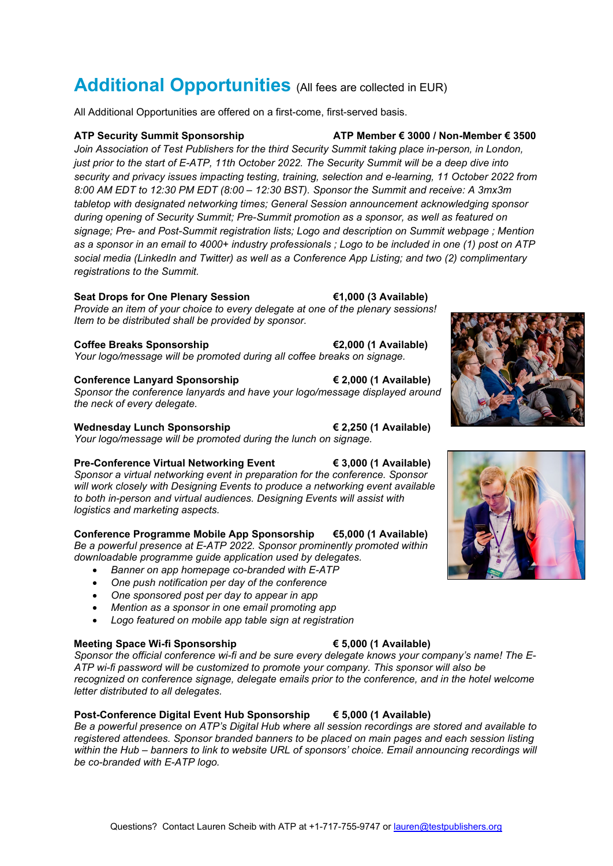# **Additional Opportunities** (All fees are collected in EUR)

All Additional Opportunities are offered on a first-come, first-served basis.

**ATP Security Summit Sponsorship ATP Member € 3000 / Non-Member € 3500**

*Join Association of Test Publishers for the third Security Summit taking place in-person, in London, just prior to the start of E-ATP, 11th October 2022. The Security Summit will be a deep dive into security and privacy issues impacting testing, training, selection and e-learning, 11 October 2022 from 8:00 AM EDT to 12:30 PM EDT (8:00 – 12:30 BST). Sponsor the Summit and receive: A 3mx3m tabletop with designated networking times; General Session announcement acknowledging sponsor during opening of Security Summit; Pre-Summit promotion as a sponsor, as well as featured on signage; Pre- and Post-Summit registration lists; Logo and description on Summit webpage ; Mention as a sponsor in an email to 4000+ industry professionals ; Logo to be included in one (1) post on ATP social media (LinkedIn and Twitter) as well as a Conference App Listing; and two (2) complimentary registrations to the Summit.*

### **Seat Drops for One Plenary Session €1,000 (3 Available)**

*Provide an item of your choice to every delegate at one of the plenary sessions! Item to be distributed shall be provided by sponsor.*

### **Coffee Breaks Sponsorship €2,000 (1 Available)**

*Your logo/message will be promoted during all coffee breaks on signage.*

**Conference Lanyard Sponsorship € 2,000 (1 Available)** *Sponsor the conference lanyards and have your logo/message displayed around the neck of every delegate.*

**Wednesday Lunch Sponsorship € 2,250 (1 Available)** *Your logo/message will be promoted during the lunch on signage.*

# **Pre-Conference Virtual Networking Event € 3,000 (1 Available)**

*Sponsor a virtual networking event in preparation for the conference. Sponsor will work closely with Designing Events to produce a networking event available to both in-person and virtual audiences. Designing Events will assist with logistics and marketing aspects.*

# **Conference Programme Mobile App Sponsorship €5,000 (1 Available)**

*Be a powerful presence at E-ATP 2022. Sponsor prominently promoted within downloadable programme guide application used by delegates.* 

- *Banner on app homepage co-branded with E-ATP*
- *One push notification per day of the conference*
- *One sponsored post per day to appear in app*
- *Mention as a sponsor in one email promoting app*
- *Logo featured on mobile app table sign at registration*

# **Meeting Space Wi-fi Sponsorship € 5,000 (1 Available)**

*Sponsor the official conference wi-fi and be sure every delegate knows your company's name! The E-ATP wi-fi password will be customized to promote your company. This sponsor will also be recognized on conference signage, delegate emails prior to the conference, and in the hotel welcome letter distributed to all delegates.*

# **Post-Conference Digital Event Hub Sponsorship € 5,000 (1 Available)**

*Be a powerful presence on ATP's Digital Hub where all session recordings are stored and available to registered attendees. Sponsor branded banners to be placed on main pages and each session listing within the Hub – banners to link to website URL of sponsors' choice. Email announcing recordings will be co-branded with E-ATP logo.*



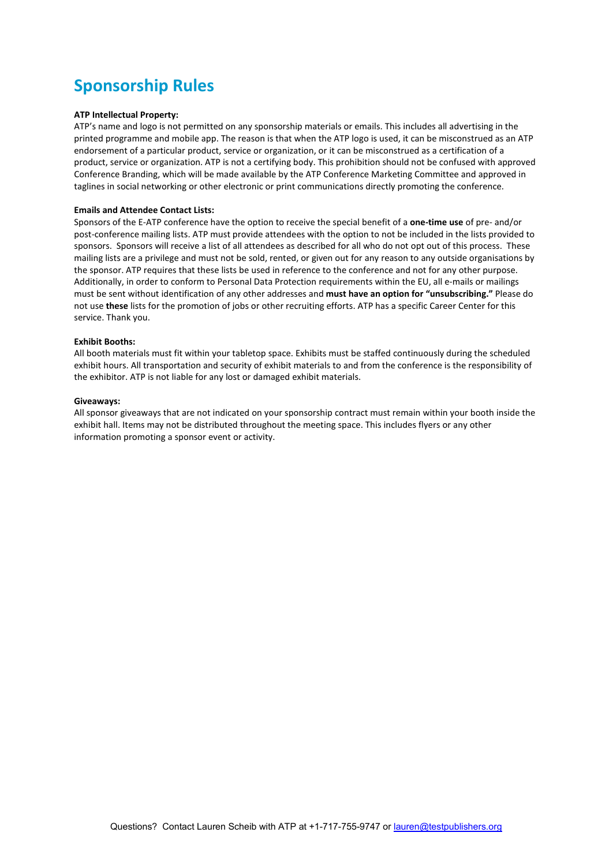# **Sponsorship Rules**

### **ATP Intellectual Property:**

ATP's name and logo is not permitted on any sponsorship materials or emails. This includes all advertising in the printed programme and mobile app. The reason is that when the ATP logo is used, it can be misconstrued as an ATP endorsement of a particular product, service or organization, or it can be misconstrued as a certification of a product, service or organization. ATP is not a certifying body. This prohibition should not be confused with approved Conference Branding, which will be made available by the ATP Conference Marketing Committee and approved in taglines in social networking or other electronic or print communications directly promoting the conference.

#### **Emails and Attendee Contact Lists:**

Sponsors of the E-ATP conference have the option to receive the special benefit of a **one-time use** of pre- and/or post-conference mailing lists. ATP must provide attendees with the option to not be included in the lists provided to sponsors. Sponsors will receive a list of all attendees as described for all who do not opt out of this process. These mailing lists are a privilege and must not be sold, rented, or given out for any reason to any outside organisations by the sponsor. ATP requires that these lists be used in reference to the conference and not for any other purpose. Additionally, in order to conform to Personal Data Protection requirements within the EU, all e-mails or mailings must be sent without identification of any other addresses and **must have an option for "unsubscribing."** Please do not use **these** lists for the promotion of jobs or other recruiting efforts. ATP has a specific Career Center for this service. Thank you.

### **Exhibit Booths:**

All booth materials must fit within your tabletop space. Exhibits must be staffed continuously during the scheduled exhibit hours. All transportation and security of exhibit materials to and from the conference is the responsibility of the exhibitor. ATP is not liable for any lost or damaged exhibit materials.

#### **Giveaways:**

All sponsor giveaways that are not indicated on your sponsorship contract must remain within your booth inside the exhibit hall. Items may not be distributed throughout the meeting space. This includes flyers or any other information promoting a sponsor event or activity.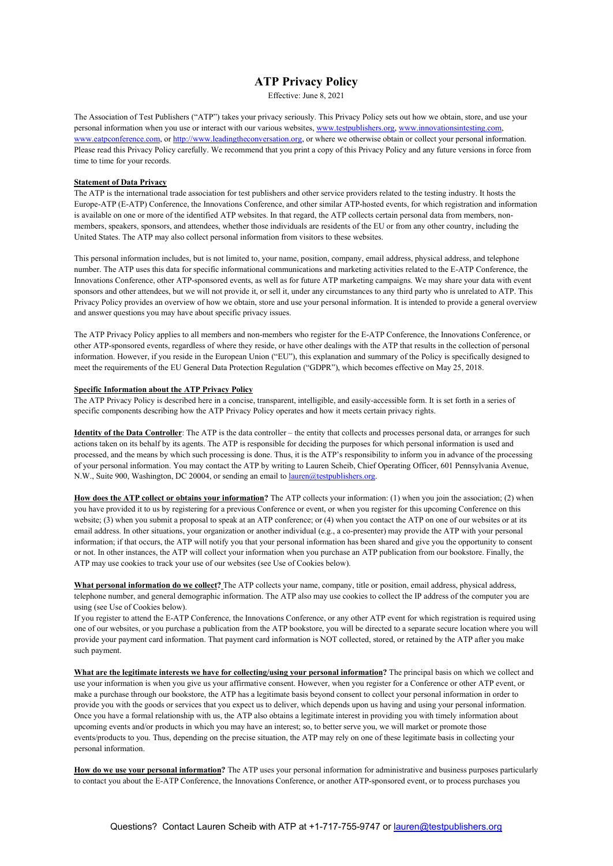### **ATP Privacy Policy**

Effective: June 8, 2021

The Association of Test Publishers ("ATP") takes your privacy seriously. This Privacy Policy sets out how we obtain, store, and use your personal information when you use or interact with our various websites[, www.testpublishers.org,](http://www.testpublishers.org/) [www.innovationsintesting.com,](http://www.innovationsintesting.com/)  [www.eatpconference.com,](http://www.eatpconference.com/) o[r http://www.leadingtheconversation.org,](http://www.leadingtheconversation.org/) or where we otherwise obtain or collect your personal information. Please read this Privacy Policy carefully. We recommend that you print a copy of this Privacy Policy and any future versions in force from time to time for your records.

### **Statement of Data Privacy**

The ATP is the international trade association for test publishers and other service providers related to the testing industry. It hosts the Europe-ATP (E-ATP) Conference, the Innovations Conference, and other similar ATP-hosted events, for which registration and information is available on one or more of the identified ATP websites. In that regard, the ATP collects certain personal data from members, nonmembers, speakers, sponsors, and attendees, whether those individuals are residents of the EU or from any other country, including the United States. The ATP may also collect personal information from visitors to these websites.

This personal information includes, but is not limited to, your name, position, company, email address, physical address, and telephone number. The ATP uses this data for specific informational communications and marketing activities related to the E-ATP Conference, the Innovations Conference, other ATP-sponsored events, as well as for future ATP marketing campaigns. We may share your data with event sponsors and other attendees, but we will not provide it, or sell it, under any circumstances to any third party who is unrelated to ATP. This Privacy Policy provides an overview of how we obtain, store and use your personal information. It is intended to provide a general overview and answer questions you may have about specific privacy issues.

The ATP Privacy Policy applies to all members and non-members who register for the E-ATP Conference, the Innovations Conference, or other ATP-sponsored events, regardless of where they reside, or have other dealings with the ATP that results in the collection of personal information. However, if you reside in the European Union ("EU"), this explanation and summary of the Policy is specifically designed to meet the requirements of the EU General Data Protection Regulation ("GDPR"), which becomes effective on May 25, 2018.

#### **Specific Information about the ATP Privacy Policy**

The ATP Privacy Policy is described here in a concise, transparent, intelligible, and easily-accessible form. It is set forth in a series of specific components describing how the ATP Privacy Policy operates and how it meets certain privacy rights.

**Identity of the Data Controller**: The ATP is the data controller – the entity that collects and processes personal data, or arranges for such actions taken on its behalf by its agents. The ATP is responsible for deciding the purposes for which personal information is used and processed, and the means by which such processing is done. Thus, it is the ATP's responsibility to inform you in advance of the processing of your personal information. You may contact the ATP by writing to Lauren Scheib, Chief Operating Officer, 601 Pennsylvania Avenue, N.W., Suite 900, Washington, DC 20004, or sending an email to *lauren@testpublishers.org*.

**How does the ATP collect or obtains your information?** The ATP collects your information: (1) when you join the association; (2) when you have provided it to us by registering for a previous Conference or event, or when you register for this upcoming Conference on this website; (3) when you submit a proposal to speak at an ATP conference; or (4) when you contact the ATP on one of our websites or at its email address. In other situations, your organization or another individual (e.g., a co-presenter) may provide the ATP with your personal information; if that occurs, the ATP will notify you that your personal information has been shared and give you the opportunity to consent or not. In other instances, the ATP will collect your information when you purchase an ATP publication from our bookstore. Finally, the ATP may use cookies to track your use of our websites (see Use of Cookies below).

**What personal information do we collect?** The ATP collects your name, company, title or position, email address, physical address, telephone number, and general demographic information. The ATP also may use cookies to collect the IP address of the computer you are using (see Use of Cookies below).

If you register to attend the E-ATP Conference, the Innovations Conference, or any other ATP event for which registration is required using one of our websites, or you purchase a publication from the ATP bookstore, you will be directed to a separate secure location where you will provide your payment card information. That payment card information is NOT collected, stored, or retained by the ATP after you make such payment.

**What are the legitimate interests we have for collecting/using your personal information?** The principal basis on which we collect and use your information is when you give us your affirmative consent. However, when you register for a Conference or other ATP event, or make a purchase through our bookstore, the ATP has a legitimate basis beyond consent to collect your personal information in order to provide you with the goods or services that you expect us to deliver, which depends upon us having and using your personal information. Once you have a formal relationship with us, the ATP also obtains a legitimate interest in providing you with timely information about upcoming events and/or products in which you may have an interest; so, to better serve you, we will market or promote those events/products to you. Thus, depending on the precise situation, the ATP may rely on one of these legitimate basis in collecting your personal information.

**How do we use your personal information?** The ATP uses your personal information for administrative and business purposes particularly to contact you about the E-ATP Conference, the Innovations Conference, or another ATP-sponsored event, or to process purchases you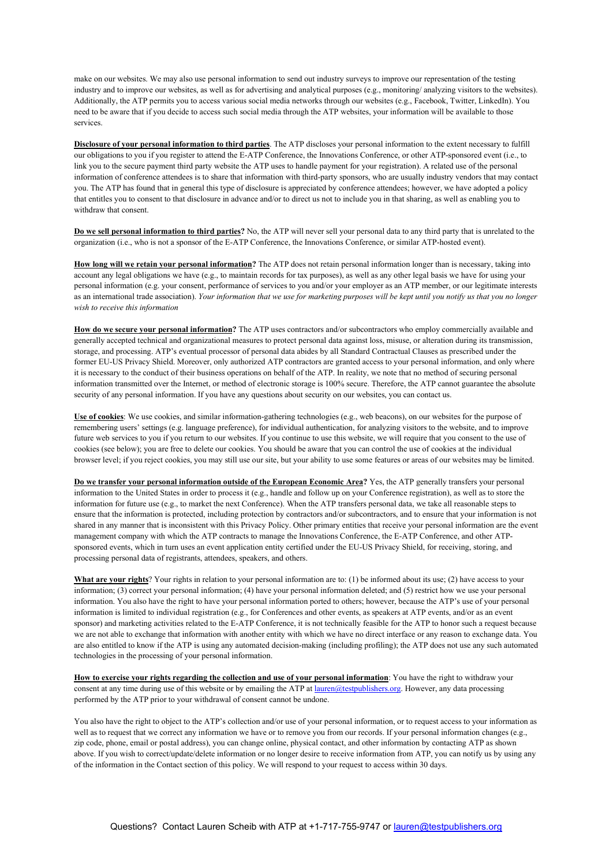make on our websites. We may also use personal information to send out industry surveys to improve our representation of the testing industry and to improve our websites, as well as for advertising and analytical purposes (e.g., monitoring/ analyzing visitors to the websites). Additionally, the ATP permits you to access various social media networks through our websites (e.g., Facebook, Twitter, LinkedIn). You need to be aware that if you decide to access such social media through the ATP websites, your information will be available to those services.

**Disclosure of your personal information to third parties**. The ATP discloses your personal information to the extent necessary to fulfill our obligations to you if you register to attend the E-ATP Conference, the Innovations Conference, or other ATP-sponsored event (i.e., to link you to the secure payment third party website the ATP uses to handle payment for your registration). A related use of the personal information of conference attendees is to share that information with third-party sponsors, who are usually industry vendors that may contact you. The ATP has found that in general this type of disclosure is appreciated by conference attendees; however, we have adopted a policy that entitles you to consent to that disclosure in advance and/or to direct us not to include you in that sharing, as well as enabling you to withdraw that consent.

**Do we sell personal information to third parties?** No, the ATP will never sell your personal data to any third party that is unrelated to the organization (i.e., who is not a sponsor of the E-ATP Conference, the Innovations Conference, or similar ATP-hosted event).

**How long will we retain your personal information?** The ATP does not retain personal information longer than is necessary, taking into account any legal obligations we have (e.g., to maintain records for tax purposes), as well as any other legal basis we have for using your personal information (e.g. your consent, performance of services to you and/or your employer as an ATP member, or our legitimate interests as an international trade association). *Your information that we use for marketing purposes will be kept until you notify us that you no longer wish to receive this information*

**How do we secure your personal information?** The ATP uses contractors and/or subcontractors who employ commercially available and generally accepted technical and organizational measures to protect personal data against loss, misuse, or alteration during its transmission, storage, and processing. ATP's eventual processor of personal data abides by all Standard Contractual Clauses as prescribed under the former EU-US Privacy Shield. Moreover, only authorized ATP contractors are granted access to your personal information, and only where it is necessary to the conduct of their business operations on behalf of the ATP. In reality, we note that no method of securing personal information transmitted over the Internet, or method of electronic storage is 100% secure. Therefore, the ATP cannot guarantee the absolute security of any personal information. If you have any questions about security on our websites, you can contact us.

**Use of cookies**: We use cookies, and similar information-gathering technologies (e.g., web beacons), on our websites for the purpose of remembering users' settings (e.g. language preference), for individual authentication, for analyzing visitors to the website, and to improve future web services to you if you return to our websites. If you continue to use this website, we will require that you consent to the use of cookies (see below); you are free to delete our cookies. You should be aware that you can control the use of cookies at the individual browser level; if you reject cookies, you may still use our site, but your ability to use some features or areas of our websites may be limited.

**Do we transfer your personal information outside of the European Economic Area?** Yes, the ATP generally transfers your personal information to the United States in order to process it (e.g., handle and follow up on your Conference registration), as well as to store the information for future use (e.g., to market the next Conference). When the ATP transfers personal data, we take all reasonable steps to ensure that the information is protected, including protection by contractors and/or subcontractors, and to ensure that your information is not shared in any manner that is inconsistent with this Privacy Policy. Other primary entities that receive your personal information are the event management company with which the ATP contracts to manage the Innovations Conference, the E-ATP Conference, and other ATPsponsored events, which in turn uses an event application entity certified under the EU-US Privacy Shield, for receiving, storing, and processing personal data of registrants, attendees, speakers, and others.

**What are your rights**? Your rights in relation to your personal information are to: (1) be informed about its use; (2) have access to your information; (3) correct your personal information; (4) have your personal information deleted; and (5) restrict how we use your personal information. You also have the right to have your personal information ported to others; however, because the ATP's use of your personal information is limited to individual registration (e.g., for Conferences and other events, as speakers at ATP events, and/or as an event sponsor) and marketing activities related to the E-ATP Conference, it is not technically feasible for the ATP to honor such a request because we are not able to exchange that information with another entity with which we have no direct interface or any reason to exchange data. You are also entitled to know if the ATP is using any automated decision-making (including profiling); the ATP does not use any such automated technologies in the processing of your personal information.

**How to exercise your rights regarding the collection and use of your personal information**: You have the right to withdraw your consent at any time during use of this website or by emailing the ATP at [lauren@testpublishers.org.](mailto:lauren@testpublishers.org) However, any data processing performed by the ATP prior to your withdrawal of consent cannot be undone.

You also have the right to object to the ATP's collection and/or use of your personal information, or to request access to your information as well as to request that we correct any information we have or to remove you from our records. If your personal information changes (e.g., zip code, phone, email or postal address), you can change online, physical contact, and other information by contacting ATP as shown above. If you wish to correct/update/delete information or no longer desire to receive information from ATP, you can notify us by using any of the information in the Contact section of this policy. We will respond to your request to access within 30 days.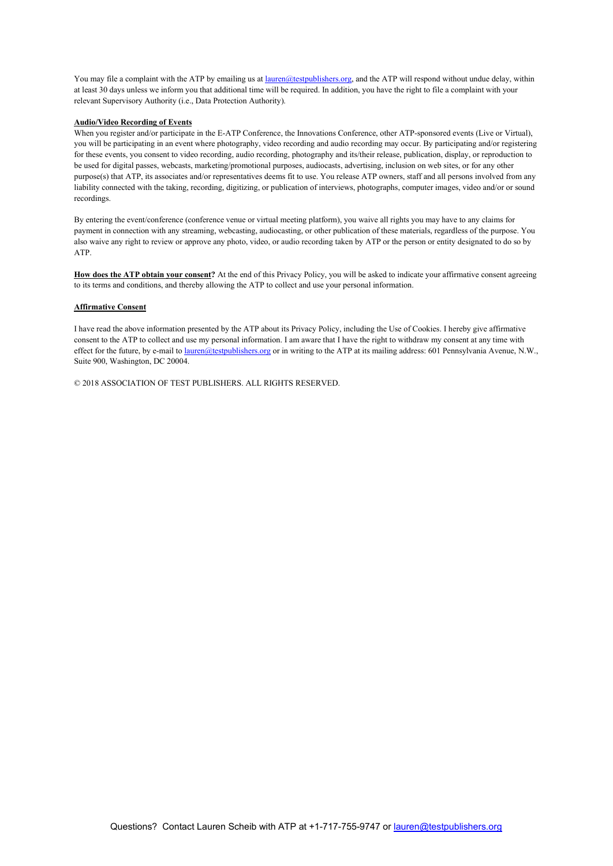You may file a complaint with the ATP by emailing us a[t lauren@testpublishers.org,](mailto:lauren@testpublishers.org) and the ATP will respond without undue delay, within at least 30 days unless we inform you that additional time will be required. In addition, you have the right to file a complaint with your relevant Supervisory Authority (i.e., Data Protection Authority).

### **Audio/Video Recording of Events**

When you register and/or participate in the E-ATP Conference, the Innovations Conference, other ATP-sponsored events (Live or Virtual), you will be participating in an event where photography, video recording and audio recording may occur. By participating and/or registering for these events, you consent to video recording, audio recording, photography and its/their release, publication, display, or reproduction to be used for digital passes, webcasts, marketing/promotional purposes, audiocasts, advertising, inclusion on web sites, or for any other purpose(s) that ATP, its associates and/or representatives deems fit to use. You release ATP owners, staff and all persons involved from any liability connected with the taking, recording, digitizing, or publication of interviews, photographs, computer images, video and/or or sound recordings.

By entering the event/conference (conference venue or virtual meeting platform), you waive all rights you may have to any claims for payment in connection with any streaming, webcasting, audiocasting, or other publication of these materials, regardless of the purpose. You also waive any right to review or approve any photo, video, or audio recording taken by ATP or the person or entity designated to do so by ATP.

**How does the ATP obtain your consent?** At the end of this Privacy Policy, you will be asked to indicate your affirmative consent agreeing to its terms and conditions, and thereby allowing the ATP to collect and use your personal information.

#### **Affirmative Consent**

I have read the above information presented by the ATP about its Privacy Policy, including the Use of Cookies. I hereby give affirmative consent to the ATP to collect and use my personal information. I am aware that I have the right to withdraw my consent at any time with effect for the future, by e-mail to *lauren@testpublishers.org* or in writing to the ATP at its mailing address: 601 Pennsylvania Avenue, N.W., Suite 900, Washington, DC 20004.

© 2018 ASSOCIATION OF TEST PUBLISHERS. ALL RIGHTS RESERVED.